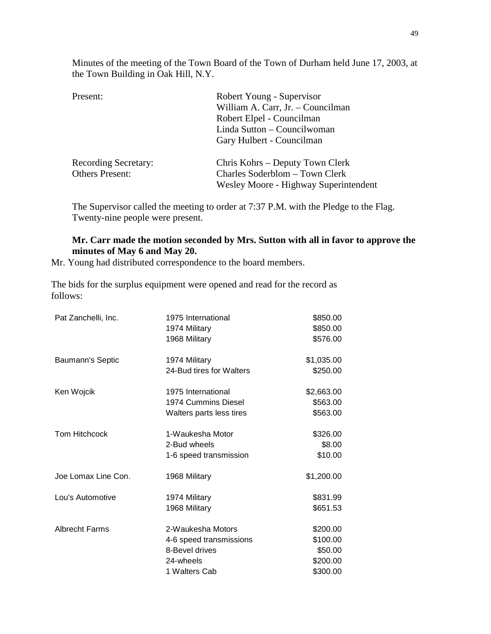Minutes of the meeting of the Town Board of the Town of Durham held June 17, 2003, at the Town Building in Oak Hill, N.Y.

| Present:                    | Robert Young - Supervisor             |  |
|-----------------------------|---------------------------------------|--|
|                             | William A. Carr, Jr. - Councilman     |  |
|                             | Robert Elpel - Councilman             |  |
|                             | Linda Sutton – Councilwoman           |  |
|                             | Gary Hulbert - Councilman             |  |
| <b>Recording Secretary:</b> | Chris Kohrs – Deputy Town Clerk       |  |
| <b>Others Present:</b>      | Charles Soderblom - Town Clerk        |  |
|                             | Wesley Moore - Highway Superintendent |  |

The Supervisor called the meeting to order at 7:37 P.M. with the Pledge to the Flag. Twenty-nine people were present.

## **Mr. Carr made the motion seconded by Mrs. Sutton with all in favor to approve the minutes of May 6 and May 20.**

Mr. Young had distributed correspondence to the board members.

The bids for the surplus equipment were opened and read for the record as follows:

| Pat Zanchelli, Inc.   | 1975 International       | \$850.00   |
|-----------------------|--------------------------|------------|
|                       | 1974 Military            | \$850.00   |
|                       | 1968 Military            | \$576.00   |
| Baumann's Septic      | 1974 Military            | \$1,035.00 |
|                       | 24-Bud tires for Walters | \$250.00   |
| Ken Wojcik            | 1975 International       | \$2,663.00 |
|                       | 1974 Cummins Diesel      | \$563.00   |
|                       | Walters parts less tires | \$563.00   |
| <b>Tom Hitchcock</b>  | 1-Waukesha Motor         | \$326.00   |
|                       | 2-Bud wheels             | \$8.00     |
|                       | 1-6 speed transmission   | \$10.00    |
| Joe Lomax Line Con.   | 1968 Military            | \$1,200.00 |
| Lou's Automotive      | 1974 Military            | \$831.99   |
|                       | 1968 Military            | \$651.53   |
| <b>Albrecht Farms</b> | 2-Waukesha Motors        | \$200.00   |
|                       | 4-6 speed transmissions  | \$100.00   |
|                       | 8-Bevel drives           | \$50.00    |
|                       | 24-wheels                | \$200.00   |
|                       | 1 Walters Cab            | \$300.00   |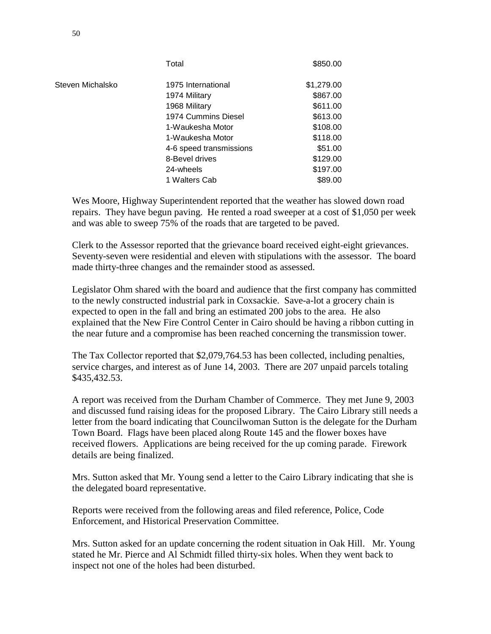|                  | Total                   | \$850.00   |
|------------------|-------------------------|------------|
| Steven Michalsko | 1975 International      | \$1,279.00 |
|                  | 1974 Military           | \$867.00   |
|                  | 1968 Military           | \$611.00   |
|                  | 1974 Cummins Diesel     | \$613.00   |
|                  | 1-Waukesha Motor        | \$108.00   |
|                  | 1-Waukesha Motor        | \$118.00   |
|                  | 4-6 speed transmissions | \$51.00    |
|                  | 8-Bevel drives          | \$129.00   |
|                  | 24-wheels               | \$197.00   |
|                  | 1 Walters Cab           | \$89.00    |
|                  |                         |            |

Wes Moore, Highway Superintendent reported that the weather has slowed down road repairs. They have begun paving. He rented a road sweeper at a cost of \$1,050 per week and was able to sweep 75% of the roads that are targeted to be paved.

Clerk to the Assessor reported that the grievance board received eight-eight grievances. Seventy-seven were residential and eleven with stipulations with the assessor. The board made thirty-three changes and the remainder stood as assessed.

Legislator Ohm shared with the board and audience that the first company has committed to the newly constructed industrial park in Coxsackie. Save-a-lot a grocery chain is expected to open in the fall and bring an estimated 200 jobs to the area. He also explained that the New Fire Control Center in Cairo should be having a ribbon cutting in the near future and a compromise has been reached concerning the transmission tower.

The Tax Collector reported that \$2,079,764.53 has been collected, including penalties, service charges, and interest as of June 14, 2003. There are 207 unpaid parcels totaling \$435,432.53.

A report was received from the Durham Chamber of Commerce. They met June 9, 2003 and discussed fund raising ideas for the proposed Library. The Cairo Library still needs a letter from the board indicating that Councilwoman Sutton is the delegate for the Durham Town Board. Flags have been placed along Route 145 and the flower boxes have received flowers. Applications are being received for the up coming parade. Firework details are being finalized.

Mrs. Sutton asked that Mr. Young send a letter to the Cairo Library indicating that she is the delegated board representative.

Reports were received from the following areas and filed reference, Police, Code Enforcement, and Historical Preservation Committee.

Mrs. Sutton asked for an update concerning the rodent situation in Oak Hill. Mr. Young stated he Mr. Pierce and Al Schmidt filled thirty-six holes. When they went back to inspect not one of the holes had been disturbed.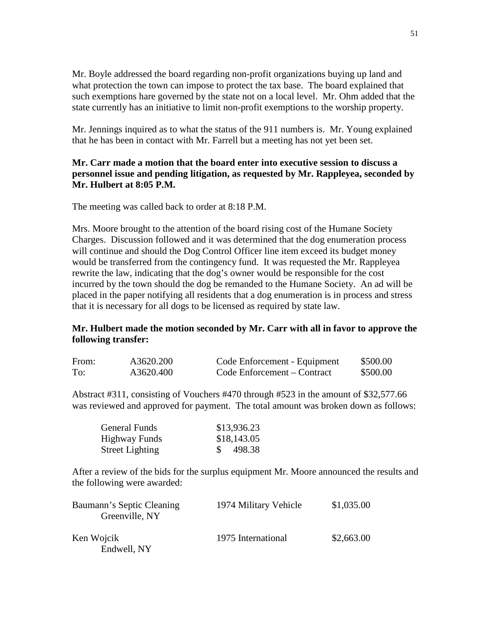Mr. Boyle addressed the board regarding non-profit organizations buying up land and what protection the town can impose to protect the tax base. The board explained that such exemptions hare governed by the state not on a local level. Mr. Ohm added that the state currently has an initiative to limit non-profit exemptions to the worship property.

Mr. Jennings inquired as to what the status of the 911 numbers is. Mr. Young explained that he has been in contact with Mr. Farrell but a meeting has not yet been set.

## **Mr. Carr made a motion that the board enter into executive session to discuss a personnel issue and pending litigation, as requested by Mr. Rappleyea, seconded by Mr. Hulbert at 8:05 P.M.**

The meeting was called back to order at 8:18 P.M.

Mrs. Moore brought to the attention of the board rising cost of the Humane Society Charges. Discussion followed and it was determined that the dog enumeration process will continue and should the Dog Control Officer line item exceed its budget money would be transferred from the contingency fund. It was requested the Mr. Rappleyea rewrite the law, indicating that the dog's owner would be responsible for the cost incurred by the town should the dog be remanded to the Humane Society. An ad will be placed in the paper notifying all residents that a dog enumeration is in process and stress that it is necessary for all dogs to be licensed as required by state law.

## **Mr. Hulbert made the motion seconded by Mr. Carr with all in favor to approve the following transfer:**

| From: | A3620.200 | Code Enforcement - Equipment | \$500.00 |
|-------|-----------|------------------------------|----------|
| To:   | A3620.400 | Code Enforcement – Contract  | \$500.00 |

Abstract #311, consisting of Vouchers #470 through #523 in the amount of \$32,577.66 was reviewed and approved for payment. The total amount was broken down as follows:

| <b>General Funds</b>   |               | \$13,936.23 |
|------------------------|---------------|-------------|
| Highway Funds          |               | \$18,143.05 |
| <b>Street Lighting</b> | $\mathcal{S}$ | 498.38      |

After a review of the bids for the surplus equipment Mr. Moore announced the results and the following were awarded:

| Baumann's Septic Cleaning<br>Greenville, NY | 1974 Military Vehicle | \$1,035.00 |
|---------------------------------------------|-----------------------|------------|
| Ken Wojcik                                  | 1975 International    | \$2,663.00 |
| Endwell, NY                                 |                       |            |